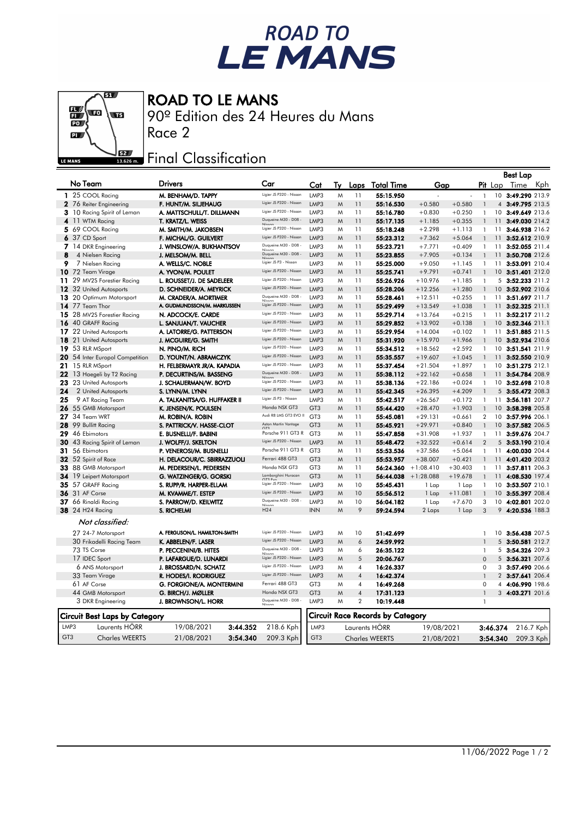## ROAD TO<br>LE MANS

## ROAD TO LE MANS

90º Edition des 24 Heures du Mans Race 2



 $\overline{\mathbf{g}}$ 

## **EZAR** Final Classification

|                 |                                 |                               |                         |                                    |                       |                              |                                         |             |           |                              |                  | <b>Best Lap</b>                    |           |
|-----------------|---------------------------------|-------------------------------|-------------------------|------------------------------------|-----------------------|------------------------------|-----------------------------------------|-------------|-----------|------------------------------|------------------|------------------------------------|-----------|
| No Team         |                                 | Drivers                       | Car                     | Cat                                | Tv                    | Laps                         | <u>Total Time</u>                       | Gap         |           |                              | <b>Pit</b> Lap   | Time                               | Kph       |
|                 | 1 25 COOL Racing                | M. BENHAM/D. TAPPY            | Ligier JS P320 - Nissan | LMP3                               | M                     | 11                           | 55:15.950                               |             |           | $\mathbf{1}$                 | 10 <sup>10</sup> | 3:49.290 213.9                     |           |
|                 | 2 76 Reiter Engineering         | F. HUNT/M. SILJEHAUG          | Ligier JS P320 - Nissan | LMP3                               | M                     | 11                           | 55:16.530                               | $+0.580$    | $+0.580$  |                              |                  | 4 3:49.795 213.5                   |           |
|                 | 3 10 Racing Spirit of Leman     | A. MATTSCHULL/T. DILLMANN     | Ligier JS P320 - Nissan | LMP3                               | M                     | 11                           | 55:16.780                               | $+0.830$    | $+0.250$  | $\mathbf{1}$                 |                  | 10 3:49.649 213.6                  |           |
|                 | 4 11 WTM Racing                 | T. KRATZ/L. WEISS             | Duqueine M30 - D08 -    | LMP3                               | M                     | 11                           | 55:17.135                               | $+1.185$    | $+0.355$  |                              | 11               | 3:49.030 214.2                     |           |
|                 | 5 69 COOL Racing                | M. SMITH/M. JAKOBSEN          | Ligier JS P320 - Nissan | LMP3                               | M                     | 11                           | 55:18.248                               | $+2.298$    | $+1.113$  | $\mathbf{1}$                 | 11               | 3:46.938 216.2                     |           |
|                 | 6 37 CD Sport                   | F. MICHAL/G. GUILVERT         | Ligier JS P320 - Nissan | LMP3                               | M                     | 11                           | 55:23.312                               | $+7.362$    | $+5.064$  | $\mathbf{1}$                 | 11               | 3:52.612 210.9                     |           |
|                 | 7 14 DKR Engineering            | J. WINSLOW/A. BUKHANTSOV      | Duqueine M30 - D08 -    | LMP3                               | M                     | 11                           | 55:23.721                               | $+7.771$    | $+0.409$  | $\mathbf{1}$                 | 11               | 3:52.055 211.4                     |           |
| 8               | 4 Nielsen Racing                | J. MELSOM/M. BELL             | Duqueine M30 - D08 -    | LMP3                               | M                     | 11                           | 55:23.855                               | $+7.905$    | $+0.134$  | $\mathbf{1}$                 | 11               | 3:50.708 212.6                     |           |
| 9               | 7 Nielsen Racing                | A. WELLS/C. NOBLE             | Ligier JS P3 - Nissan   | LMP3                               | M                     | 11                           | 55:25.000                               | $+9.050$    | $+1.145$  | $\mathbf{1}$                 | 11               | 3:53.091 210.4                     |           |
|                 | 10 72 Team Virage               | A. YVON/M. POULET             | Ligier JS P320 - Nissan | LMP3                               | M                     | 11                           | 55:25.741                               | $+9.791$    | $+0.741$  | $\overline{1}$               |                  | 10 3:51.401 212.0                  |           |
|                 | 11 29 MV2S Forestier Racing     | L. ROUSSET/J. DE SADELEER     | Ligier JS P320 - Nissan | LMP3                               | Μ                     | 11                           | 55:26.926                               | $+10.976$   | $+1.185$  | $\mathbf{1}$                 | 5                | 3:52.233 211.2                     |           |
|                 | 12 32 United Autosports         | D. SCHNEIDER/A. MEYRICK       | Ligier JS P320 - Nissan | LMP3                               | M                     | 11                           | 55:28.206                               | $+12.256$   | $+1.280$  | $\mathbf{1}$                 | 10 <sup>°</sup>  | 3:52.902 210.6                     |           |
|                 | 13 20 Optimum Motorsport        | M. CRADER/A. MORTIMER         | Duqueine M30 - D08 -    | LMP3                               | M                     | 11                           | 55:28.461                               | $+12.511$   | $+0.255$  | $\mathbf{1}$                 | 11               | 3:51.697 211.7                     |           |
|                 | 14 77 Team Thor                 | A. GUDMUNDSSON/M. MARKUSSEN   | Ligier JS P320 - Nissan | LMP3                               | M                     | 11                           | 55:29.499                               | $+13.549$   | $+1.038$  | $\mathbf{1}$                 | $11 -$           | 3:52.325 211.1                     |           |
|                 | 15 28 MV2S Forestier Racing     | N. ADCOCK/E. CARDE            | Ligier JS P320 - Nissan | LMP3                               | M                     | 11                           | 55:29.714                               | $+13.764$   | $+0.215$  | $\mathbf{1}$                 | 11               | 3:52.217 211.2                     |           |
|                 | 16 40 GRAFF Racing              | L. SANJUAN/T. VAUCHER         | Ligier JS P320 - Nissan | LMP3                               | M                     | 11                           | 55:29.852                               | $+13.902$   | $+0.138$  |                              |                  | 10 3:52.346 211.1                  |           |
|                 | 17 22 United Autosports         | A. LATORRE/G. PATTERSON       | Ligier JS P320 - Nissan | LMP3                               | M                     | 11                           | 55:29.954                               | $+14.004$   | $+0.102$  | $\mathbf{1}$                 |                  | 11 3:51.885 211.5                  |           |
| 18              | 21 United Autosports            | J. MCGUIRE/G. SMITH           | Ligier JS P320 - Nissan | LMP3                               | M                     | 11                           | 55:31.920                               | $+15.970$   | $+1.966$  |                              | 10               | 3:52.934 210.6                     |           |
|                 | 19 53 RLR MSport                | N. PINO/M. RICH               | Ligier JS P320 - Nissan | LMP3                               | M                     | 11                           | 55:34.512                               | $+18.562$   | $+2.592$  | $\mathbf{1}$                 | $10^{\circ}$     | 3:51.541 211.9                     |           |
|                 | 20 54 Inter Europol Competition | D. YOUNT/N. ABRAMCZYK         | Ligier JS P320 - Nissan | LMP3                               | M                     | 11                           | 55:35.557                               | $+19.607$   | $+1.045$  | $\mathbf{1}$                 | 11               | 3:52.550 210.9                     |           |
|                 | 21 15 RLR MSport                | H. FELBERMAYR JR/A. KAPADIA   | Ligier JS P320 - Nissan | LMP3                               | M                     | 11                           | 55:37.454                               | $+21.504$   | $+1.897$  | $\mathbf{1}$                 | 10 <sup>°</sup>  | 3:51.275 212.1                     |           |
|                 | 22 13 Haegeli by T2 Racing      | P. DECURTINS/M. BASSENG       | Duqueine M30 - D08 -    | LMP3                               | M                     | 11                           | 55:38.112                               | $+22.162$   | $+0.658$  | $\mathbf{1}$                 | 11               | 3:54.784 208.9                     |           |
| 23.             | 23 United Autosports            | J. SCHAUERMAN/W. BOYD         | Ligier JS P320 - Nissan | LMP3                               | M                     | 11                           | 55:38.136                               | $+22.186$   | $+0.024$  | $\mathbf{1}$                 | 10               | 3:52.698 210.8                     |           |
| 24              | 2 United Autosports             | S. LYNN/M. LYNN               | Ligier JS P320 - Nissan | LMP3                               | M                     | 11                           | 55:42.345                               | $+26.395$   | $+4.209$  | $\mathbf{1}$                 |                  | 5 3:55.472 208.3                   |           |
| 25              | 9 AT Racing Team                | A. TALKANITSA/G. HUFFAKER II  | Ligier JS P3 - Nissan   | LMP3                               | M                     | 11                           | 55:42.517                               | $+26.567$   | $+0.172$  | $\mathbf{1}$                 | 11               | 3:56.181 207.7                     |           |
|                 | 26 55 GMB Motorsport            | K. JENSEN/K. POULSEN          | Honda NSX GT3           | GT <sub>3</sub>                    | M                     | 11                           | 55:44.420                               | $+28.470$   | $+1.903$  | $\mathbf{1}$                 |                  | 10 3:58.398 205.8                  |           |
|                 | 27 34 Team WRT                  | M. ROBIN/A. ROBIN             | Audi R8 LMS GT3 EVO     | GT <sub>3</sub>                    | Μ                     | 11                           | 55:45.081                               | $+29.131$   | $+0.661$  | $\overline{2}$               | $10^{\circ}$     | 3:57.996 206.1                     |           |
| 28              | 99 Bullitt Racing               | S. PATTRICK/V. HASSE-CLOT     | Aston Martin Vantage    | GT <sub>3</sub>                    | M                     | 11                           | 55:45.921                               | $+29.971$   | $+0.840$  |                              | 10 <sup>°</sup>  | 3:57.582 206.5                     |           |
|                 | 29 46 Ebimotors                 | E. BUSNELLI/F. BABINI         | Porsche 911 GT3 R       | GT <sub>3</sub>                    | M                     | 11                           | 55:47.858                               | $+31.908$   | $+1.937$  | $\mathbf{1}$                 | 11               | 3:59.676 204.7                     |           |
|                 | 30 43 Racing Spirit of Leman    | J. WOLFF/J. SKELTON           | Ligier JS P320 - Nissan | LMP3                               | M                     | 11                           | 55:48.472                               | $+32.522$   | $+0.614$  | $\overline{2}$               |                  | 5 3:53.190 210.4                   |           |
|                 | 31 56 Ebimotors                 | P. VENEROSI/M. BUSNELLI       | Porsche 911 GT3 R       | GT <sub>3</sub>                    | M                     | 11                           | 55:53.536                               | $+37.586$   | $+5.064$  | 1                            |                  | 11 4:00.030 204.4                  |           |
|                 | 32 52 Spirit of Race            | H. DELACOUR/C. SBIRRAZZUOLI   | Ferrari 488 GT3         | GT <sub>3</sub>                    | M                     | 11                           | 55:53.957                               | $+38.007$   | $+0.421$  | $\mathbf{1}$                 |                  | 11 4:01.420 203.2                  |           |
|                 | 33 88 GMB Motorsport            | M. PEDERSEN/L. PEDERSEN       | Honda NSX GT3           | GT <sub>3</sub>                    | M                     | 11                           | 56:24.360                               | $+1:08.410$ | $+30.403$ | $\mathbf{1}$                 | 11               | 3:57.811 206.3                     |           |
|                 | 34 19 Leipert Motorsport        | G. WATZINGER/G. GORSKI        | Lamborghini Huracan     | GT <sub>3</sub>                    | M                     | 11                           | 56:44.038                               | $+1:28.088$ | $+19.678$ | $\overline{1}$               |                  | 11 4:08.530 197.4                  |           |
|                 | 35 57 GRAFF Racing              | S. RUPP/R. HARPER-ELLAM       | Ligier JS P320 - Nissan | LMP3                               | M                     | 10                           | 55:45.431                               | 1 Lap       | 1 Lap     | $\mathbf{1}$                 | 10               | 3:53.507 210.1                     |           |
|                 | <b>36</b> 31 AF Corse           | M. KVAMME/T. ESTEP            | Ligier JS P320 - Nissan | LMP3                               | M                     | 10                           | 55:56.512                               | 1 Lap       | $+11.081$ | $\mathbf{1}$                 |                  | 10 3:55.397 208.4                  |           |
|                 | 37 66 Rinaldi Racing            | S. PARROW/D. KEILWITZ         | Duqueine M30 - D08      | LMP3                               | M                     | 10                           | 56:04.182                               | 1 Lap       | $+7.670$  | 3                            | 10 <sup>°</sup>  | 4:02.801 202.0                     |           |
|                 | <b>38</b> 24 H24 Racing         | S. RICHELMI                   | H24                     | <b>INN</b>                         | M                     | 9                            | 59:24.594                               | 2 Laps      | 1 Lap     | 3                            | 9                | 4:20.536 188.3                     |           |
|                 | Not classified:                 |                               |                         |                                    |                       |                              |                                         |             |           |                              |                  |                                    |           |
|                 | 27 24-7 Motorsport              | A. FERGUSON/L. HAMILTON-SMITH | Ligier JS P320 - Nissan | LMP3                               | M                     | 10                           | 51:42.699                               |             |           |                              |                  | 10 3:56.438 207.5                  |           |
|                 | 30 Frikadelli Racing Team       | K. ABBELEN/F. LASER           | Ligier JS P320 - Nissan | LMP3                               | M                     | 6                            | 24:59.992                               |             |           | $\mathbf{1}$<br>$\mathbf{1}$ | 5                | 3:50.581 212.7                     |           |
|                 |                                 |                               | Duqueine M30 - D08 -    | LMP3                               |                       |                              |                                         |             |           |                              |                  |                                    |           |
|                 | 73 TS Corse                     | P. PECCENINI/B. HITES         | Ligier JS P320 - Nissan | LMP3                               | M                     | 6<br>5                       | 26:35.122                               |             |           | $\mathbf{1}$                 | 5                | 3:54.326 209.3                     |           |
|                 | 17 IDEC Sport                   | P. LAFARGUE/D. LUNARDI        | Ligier JS P320 - Nissan | LMP3                               | M<br>M                | $\overline{4}$               | 20:06.767<br>16:26.337                  |             |           | $\Omega$                     | 3                | 5 3:56.321 207.6<br>3:57.490 206.6 |           |
|                 | 6 ANS Motorsport                | J. BROSSARD/N. SCHATZ         | Ligier JS P320 - Nissan |                                    |                       |                              |                                         |             |           | $\mathbf 0$                  |                  |                                    |           |
|                 | 33 Team Virage                  | R. HODES/I. RODRIGUEZ         | Ferrari 488 GT3         | LMP3                               | M                     | $\sqrt{4}$                   | 16:42.374                               |             |           | $\mathbf{1}$                 |                  | 2 3:57.641 206.4                   |           |
|                 | 61 AF Corse                     | G. FORGIONE/A. MONTERMINI     | Honda NSX GT3           | GT <sub>3</sub><br>GT <sub>3</sub> | M<br>M                | $\overline{4}$<br>$\sqrt{4}$ | 16:49.268                               |             |           | $\Omega$<br>$\mathbf{1}$     |                  | 4 4:06.990 198.6                   |           |
|                 | 44 GMB Motorsport               | G. BIRCH/J. MØLLER            | Duqueine M30 - D08 -    | LMP3                               |                       | $\overline{2}$               | 17:31.123                               |             |           |                              |                  | 3 4:03.271 201.6                   |           |
|                 | 3 DKR Engineering               | J. BROWNSON/L. HORR           |                         |                                    | W                     |                              | 10:19.448                               |             |           | $\mathbf{1}$                 |                  |                                    |           |
|                 | Circuit Best Laps by Category   |                               |                         |                                    |                       |                              | <b>Circuit Race Records by Category</b> |             |           |                              |                  |                                    |           |
| LMP3            | Laurents HÖRR                   | 19/08/2021<br>3:44.352        | 218.6 Kph               | LMP3                               |                       |                              | Laurents HÖRR                           | 19/08/2021  |           |                              | 3:46.374         |                                    | 216.7 Kph |
| GT <sub>3</sub> | <b>Charles WEERTS</b>           | 3:54.340<br>21/08/2021        | 209.3 Kph               | GT <sub>3</sub>                    | <b>Charles WEERTS</b> |                              | 21/08/2021                              |             |           | 3:54.340                     |                  | 209.3 Kph                          |           |